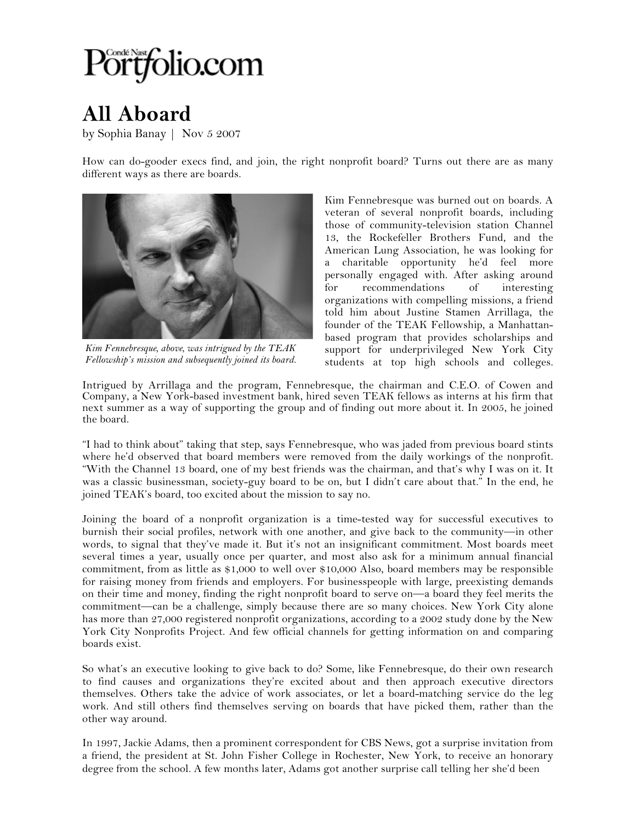## Portfolio.com

## **All Aboard**

by Sophia Banay | Nov 5 2007

How can do-gooder execs find, and join, the right nonprofit board? Turns out there are as many different ways as there are boards.



*Kim Fennebresque, above, was intrigued by the TEAK Fellowship's mission and subsequently joined its board.*

Kim Fennebresque was burned out on boards. A veteran of several nonprofit boards, including those of community-television station Channel 13, the Rockefeller Brothers Fund, and the American Lung Association, he was looking for a charitable opportunity he'd feel more personally engaged with. After asking around for recommendations of interesting organizations with compelling missions, a friend told him about Justine Stamen Arrillaga, the founder of the TEAK Fellowship, a Manhattanbased program that provides scholarships and support for underprivileged New York City students at top high schools and colleges.

Intrigued by Arrillaga and the program, Fennebresque, the chairman and C.E.O. of Cowen and Company, a New York-based investment bank, hired seven TEAK fellows as interns at his firm that next summer as a way of supporting the group and of finding out more about it. In 2005, he joined the board.

"I had to think about" taking that step, says Fennebresque, who was jaded from previous board stints where he'd observed that board members were removed from the daily workings of the nonprofit. "With the Channel 13 board, one of my best friends was the chairman, and that's why I was on it. It was a classic businessman, society-guy board to be on, but I didn't care about that." In the end, he joined TEAK's board, too excited about the mission to say no.

Joining the board of a nonprofit organization is a time-tested way for successful executives to burnish their social profiles, network with one another, and give back to the community—in other words, to signal that they've made it. But it's not an insignificant commitment. Most boards meet several times a year, usually once per quarter, and most also ask for a minimum annual financial commitment, from as little as \$1,000 to well over \$10,000 Also, board members may be responsible for raising money from friends and employers. For businesspeople with large, preexisting demands on their time and money, finding the right nonprofit board to serve on—a board they feel merits the commitment—can be a challenge, simply because there are so many choices. New York City alone has more than 27,000 registered nonprofit organizations, according to a 2002 study done by the New York City Nonprofits Project. And few official channels for getting information on and comparing boards exist.

So what's an executive looking to give back to do? Some, like Fennebresque, do their own research to find causes and organizations they're excited about and then approach executive directors themselves. Others take the advice of work associates, or let a board-matching service do the leg work. And still others find themselves serving on boards that have picked them, rather than the other way around.

In 1997, Jackie Adams, then a prominent correspondent for CBS News, got a surprise invitation from a friend, the president at St. John Fisher College in Rochester, New York, to receive an honorary degree from the school. A few months later, Adams got another surprise call telling her she'd been